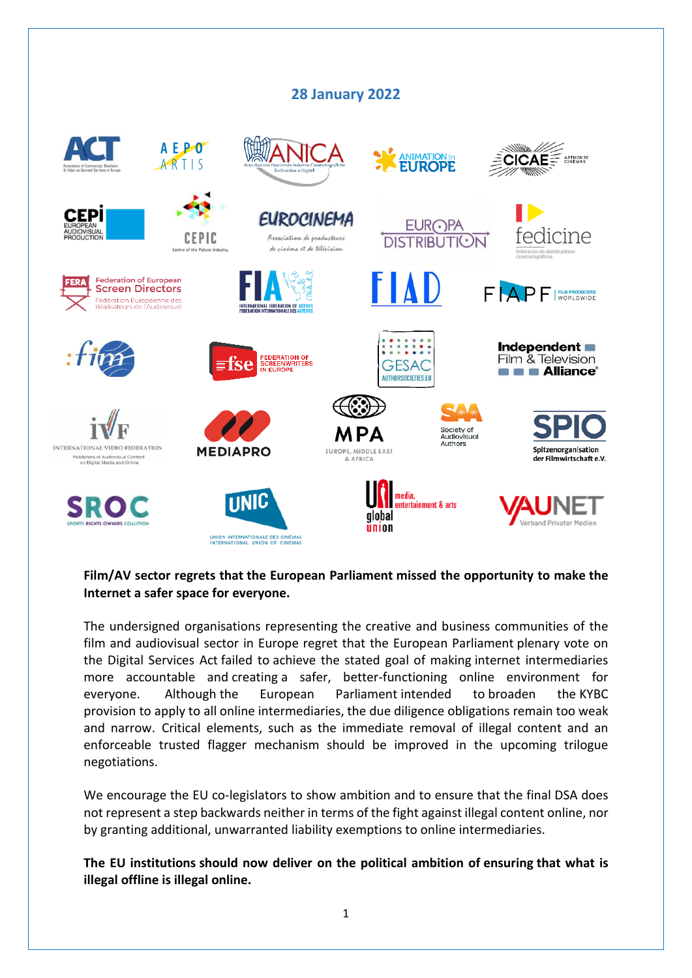## **28 January 2022**



## **Film/AV sector regrets that the European Parliament missed the opportunity to make the Internet a safer space for everyone.**

The undersigned organisations representing the creative and business communities of the film and audiovisual sector in Europe regret that the European Parliament plenary vote on the Digital Services Act failed to achieve the stated goal of making internet intermediaries more accountable and creating a safer, better-functioning online environment for everyone. Although the European Parliament intended to broaden the KYBC provision to apply to all online intermediaries, the due diligence obligations remain too weak and narrow. Critical elements, such as the immediate removal of illegal content and an enforceable trusted flagger mechanism should be improved in the upcoming trilogue negotiations.

We encourage the EU co-legislators to show ambition and to ensure that the final DSA does not represent a step backwards neither in terms of the fight against illegal content online, nor by granting additional, unwarranted liability exemptions to online intermediaries.

**The EU institutions should now deliver on the political ambition of ensuring that what is illegal offline is illegal online.**